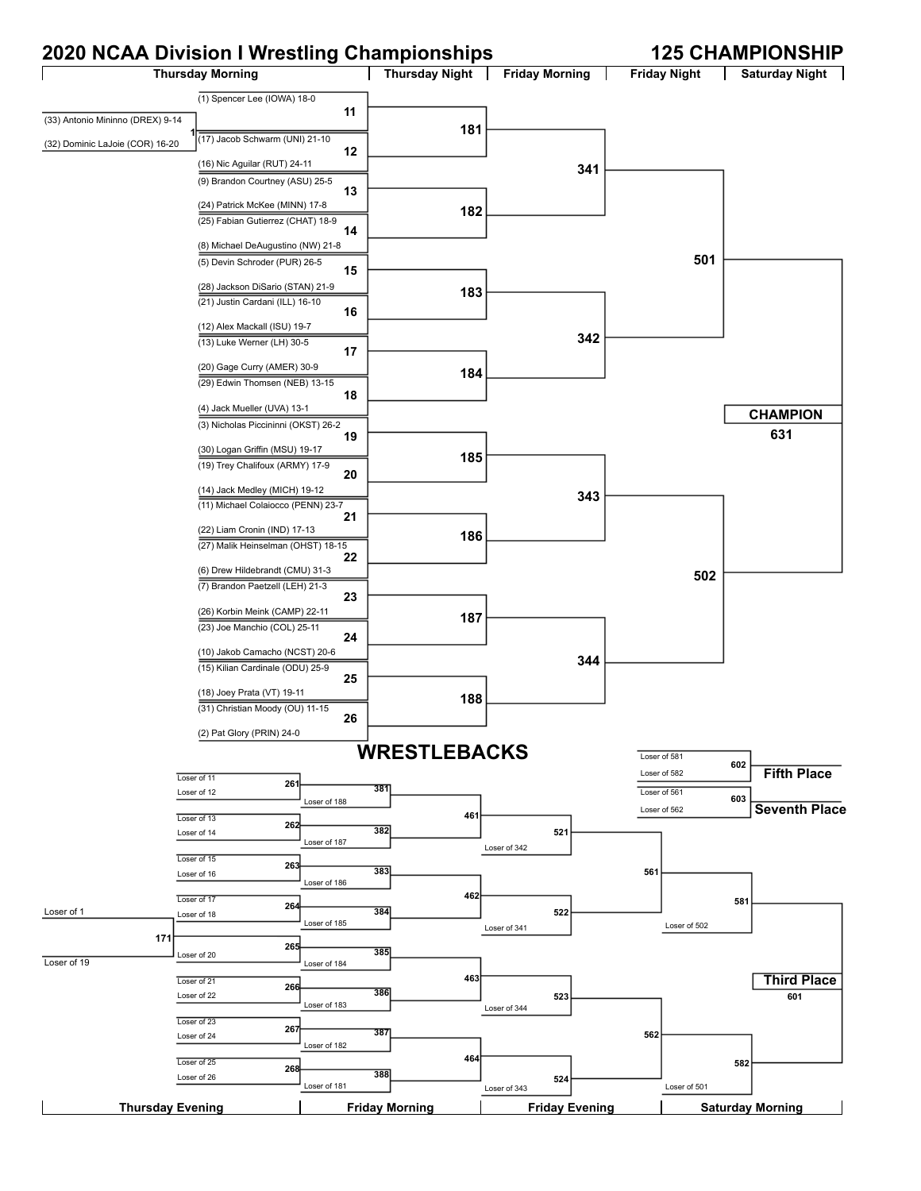## **2020 NCAA Division I Wrestling Championships 125 CHAMPIONSHIP**

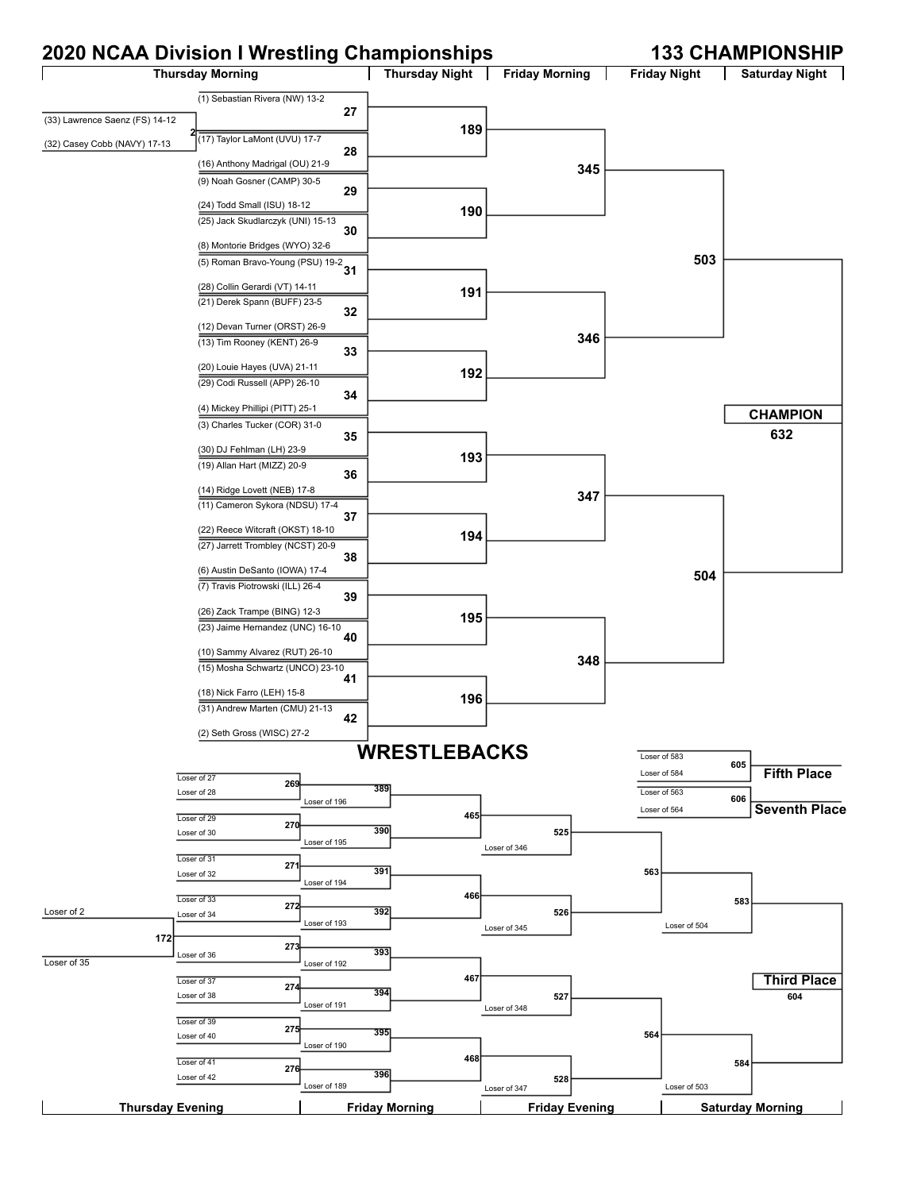## **2020 NCAA Division I Wrestling Championships 133 CHAMPIONSHIP**

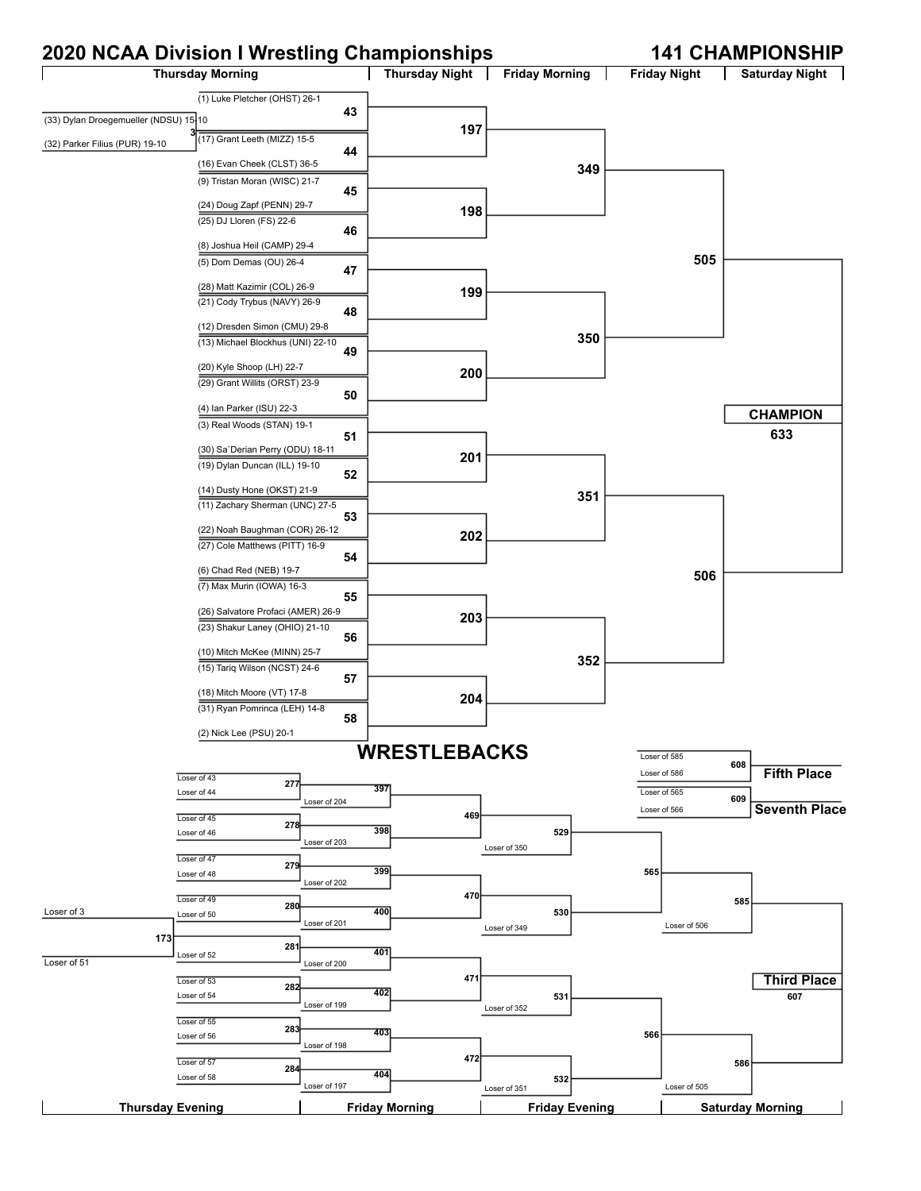#### **2020 NCAA Division I Wrestling Championships 141 CHAMPIONSHIP**

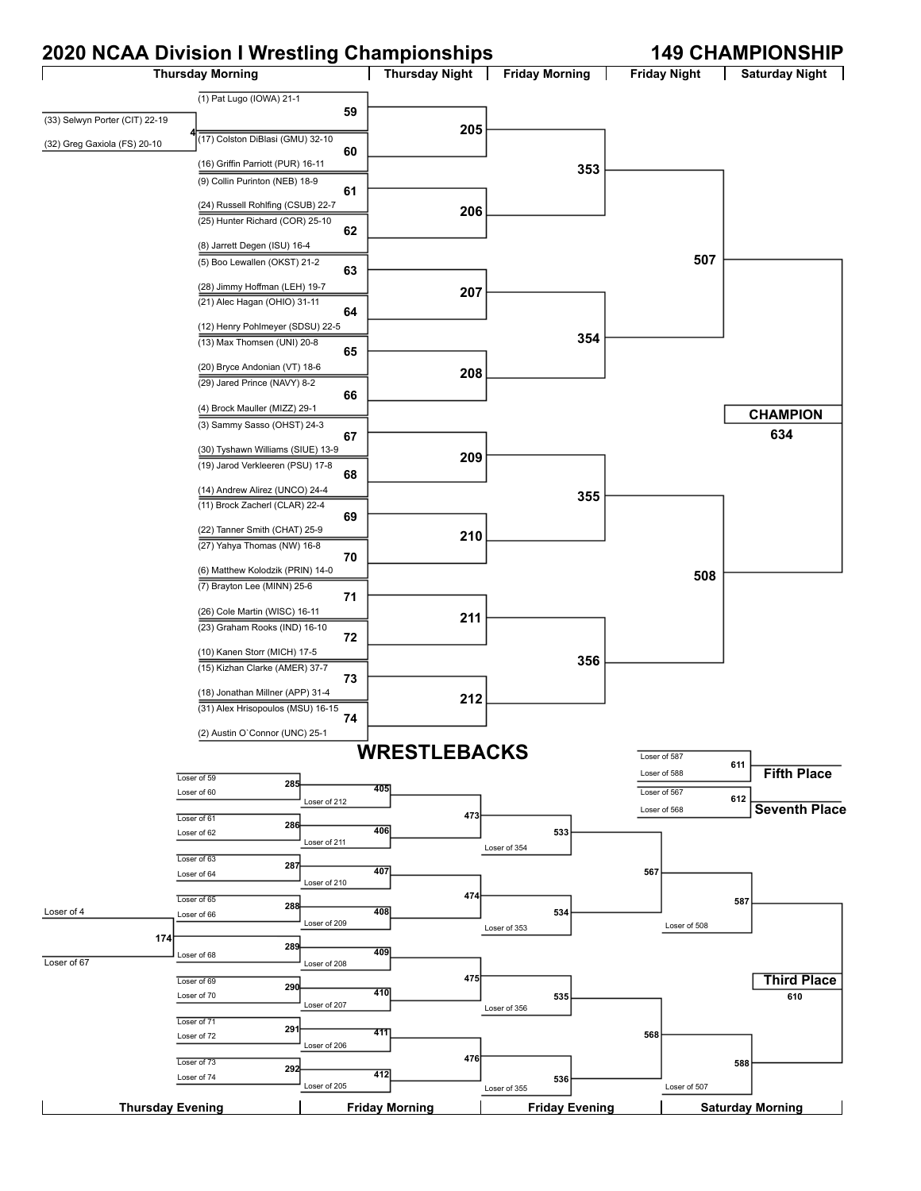## **2020 NCAA Division I Wrestling Championships 149 CHAMPIONSHIP**

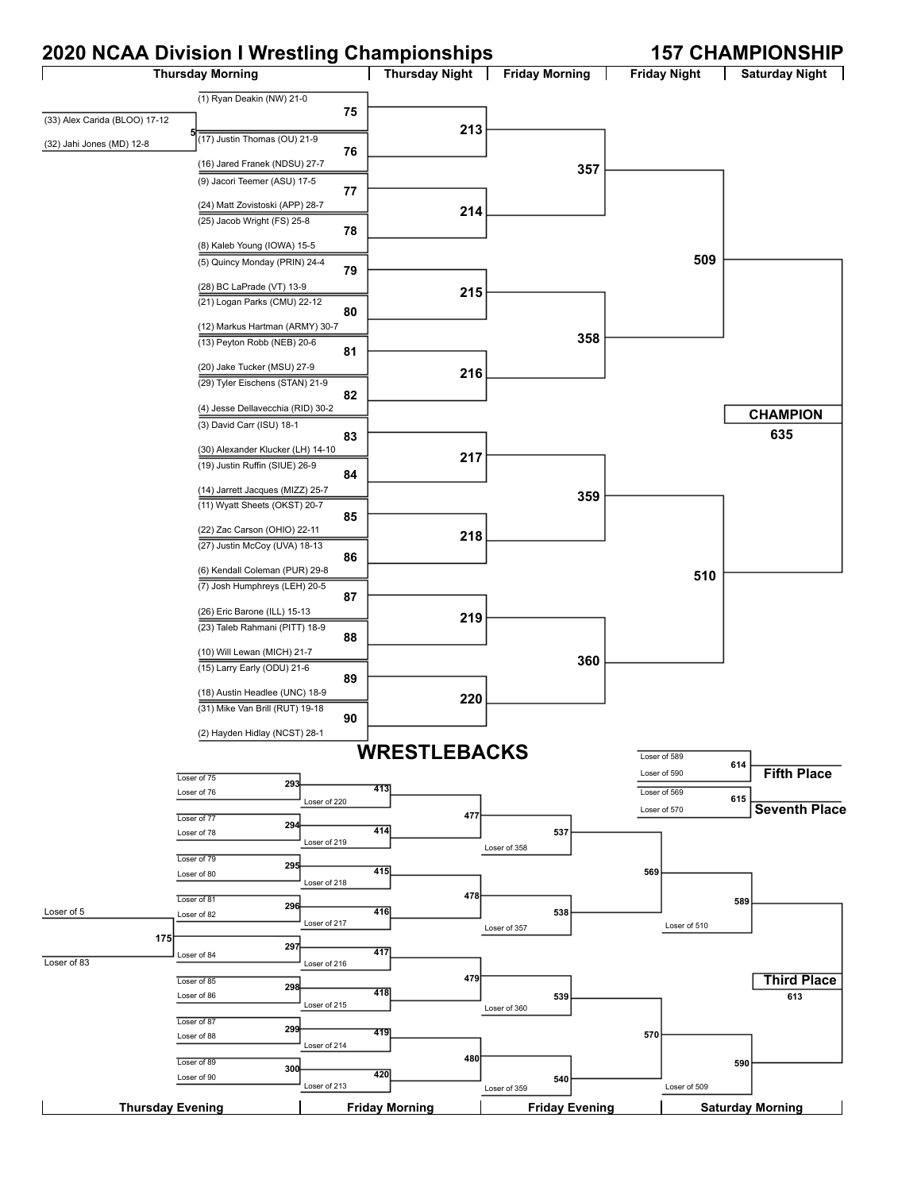## **2020 NCAA Division I Wrestling Championships 157 CHAMPIONSHIP**

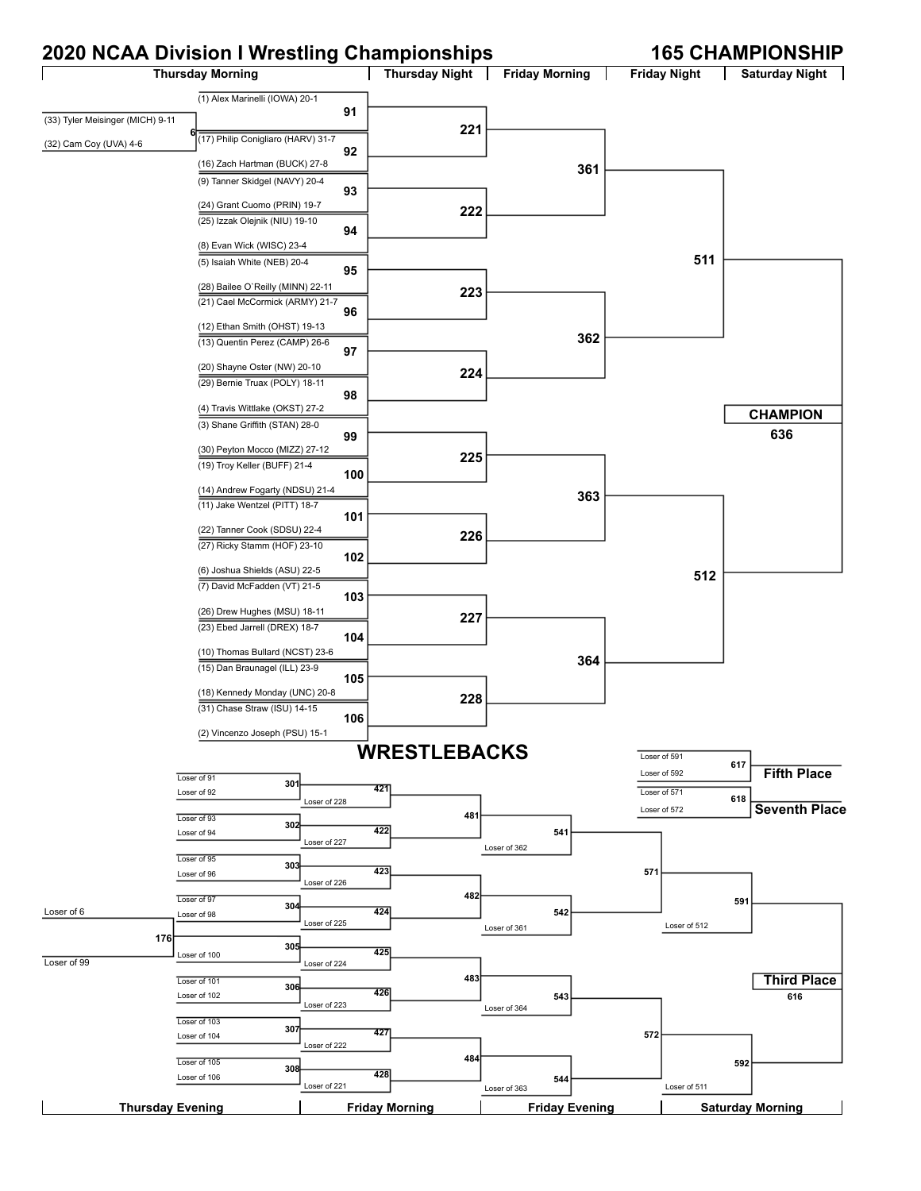## **2020 NCAA Division I Wrestling Championships 165 CHAMPIONSHIP**

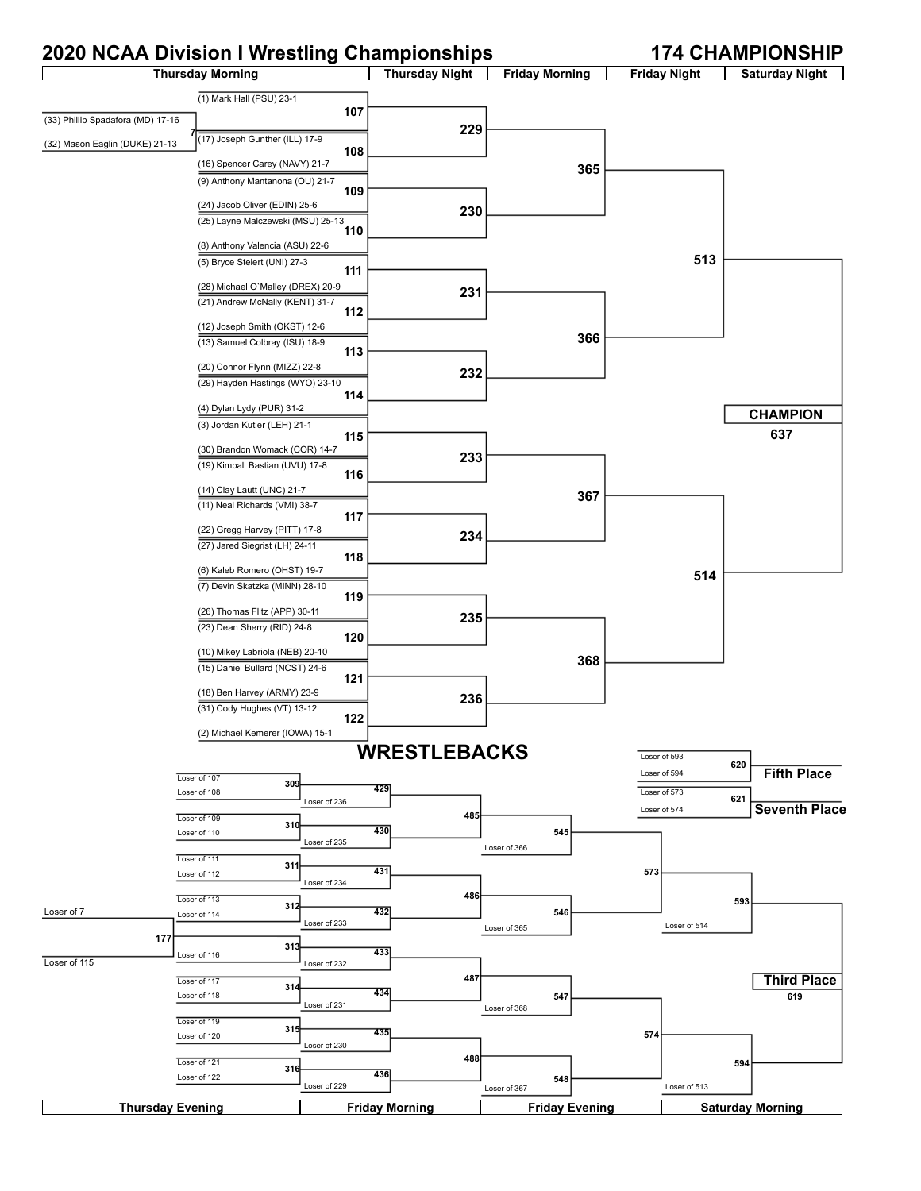## **2020 NCAA Division I Wrestling Championships 174 CHAMPIONSHIP**

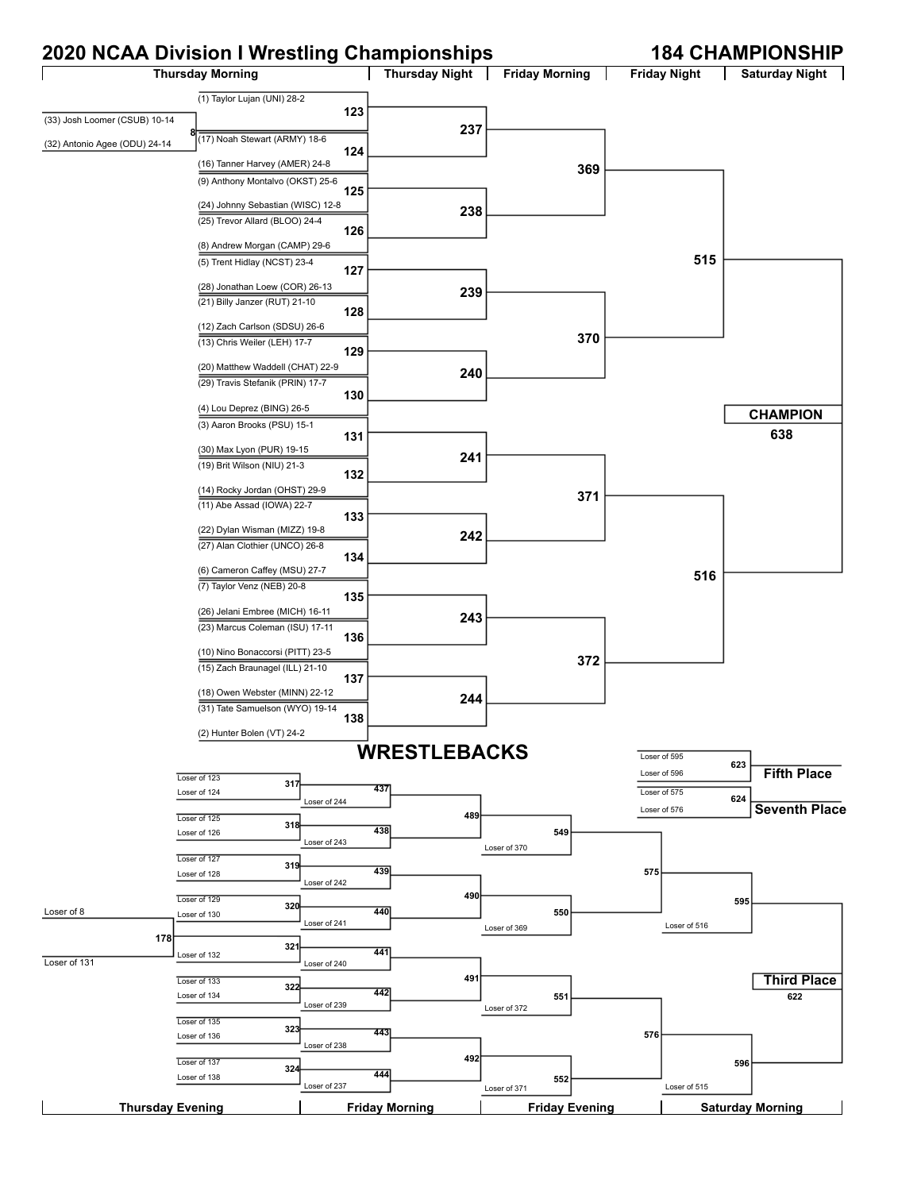# **2020 NCAA Division I Wrestling Championships 184 CHAMPIONSHIP**

| 2020 NOAA DIVISION I WIGSUNG ONGHIPIONSHIPS |                                                                      |              |                       |                       |     |                     | זוו וטירוטר זוויותו וט <del>ד</del> ט ו |
|---------------------------------------------|----------------------------------------------------------------------|--------------|-----------------------|-----------------------|-----|---------------------|-----------------------------------------|
|                                             | <b>Thursday Morning</b>                                              |              | Thursday Night        | <b>Friday Morning</b> |     | <b>Friday Night</b> | <b>Saturday Night</b>                   |
|                                             | (1) Taylor Lujan (UNI) 28-2                                          |              |                       |                       |     |                     |                                         |
| (33) Josh Loomer (CSUB) 10-14               |                                                                      | 123          |                       |                       |     |                     |                                         |
|                                             | (17) Noah Stewart (ARMY) 18-6                                        |              | 237                   |                       |     |                     |                                         |
| (32) Antonio Agee (ODU) 24-14               |                                                                      | 124          |                       |                       |     |                     |                                         |
|                                             | (16) Tanner Harvey (AMER) 24-8                                       |              |                       |                       | 369 |                     |                                         |
|                                             | (9) Anthony Montalvo (OKST) 25-6                                     | 125          |                       |                       |     |                     |                                         |
|                                             | (24) Johnny Sebastian (WISC) 12-8                                    |              |                       |                       |     |                     |                                         |
|                                             | (25) Trevor Allard (BLOO) 24-4                                       |              | 238                   |                       |     |                     |                                         |
|                                             | (8) Andrew Morgan (CAMP) 29-6                                        | 126          |                       |                       |     |                     |                                         |
|                                             | (5) Trent Hidlay (NCST) 23-4                                         |              |                       |                       |     | 515                 |                                         |
|                                             |                                                                      | 127          |                       |                       |     |                     |                                         |
|                                             | (28) Jonathan Loew (COR) 26-13                                       |              | 239                   |                       |     |                     |                                         |
|                                             | (21) Billy Janzer (RUT) 21-10                                        | 128          |                       |                       |     |                     |                                         |
|                                             | (12) Zach Carlson (SDSU) 26-6                                        |              |                       |                       |     |                     |                                         |
|                                             | (13) Chris Weiler (LEH) 17-7                                         |              |                       |                       | 370 |                     |                                         |
|                                             |                                                                      | 129          |                       |                       |     |                     |                                         |
|                                             | (20) Matthew Waddell (CHAT) 22-9<br>(29) Travis Stefanik (PRIN) 17-7 |              | 240                   |                       |     |                     |                                         |
|                                             |                                                                      | 130          |                       |                       |     |                     |                                         |
|                                             | (4) Lou Deprez (BING) 26-5                                           |              |                       |                       |     |                     | <b>CHAMPION</b>                         |
|                                             | (3) Aaron Brooks (PSU) 15-1                                          |              |                       |                       |     |                     | 638                                     |
|                                             | (30) Max Lyon (PUR) 19-15                                            | 131          |                       |                       |     |                     |                                         |
|                                             | (19) Brit Wilson (NIU) 21-3                                          |              | 241                   |                       |     |                     |                                         |
|                                             |                                                                      | 132          |                       |                       |     |                     |                                         |
|                                             | (14) Rocky Jordan (OHST) 29-9<br>(11) Abe Assad (IOWA) 22-7          |              |                       |                       | 371 |                     |                                         |
|                                             |                                                                      | 133          |                       |                       |     |                     |                                         |
|                                             | (22) Dylan Wisman (MIZZ) 19-8                                        |              | 242                   |                       |     |                     |                                         |
|                                             | (27) Alan Clothier (UNCO) 26-8                                       | 134          |                       |                       |     |                     |                                         |
|                                             | (6) Cameron Caffey (MSU) 27-7                                        |              |                       |                       |     | 516                 |                                         |
|                                             | (7) Taylor Venz (NEB) 20-8                                           | 135          |                       |                       |     |                     |                                         |
|                                             | (26) Jelani Embree (MICH) 16-11                                      |              |                       |                       |     |                     |                                         |
|                                             | (23) Marcus Coleman (ISU) 17-11                                      |              | 243                   |                       |     |                     |                                         |
|                                             |                                                                      | 136          |                       |                       |     |                     |                                         |
|                                             | (10) Nino Bonaccorsi (PITT) 23-5<br>(15) Zach Braunagel (ILL) 21-10  |              |                       |                       | 372 |                     |                                         |
|                                             |                                                                      | 137          |                       |                       |     |                     |                                         |
|                                             | (18) Owen Webster (MINN) 22-12                                       |              | 244                   |                       |     |                     |                                         |
|                                             | (31) Tate Samuelson (WYO) 19-14                                      | 138          |                       |                       |     |                     |                                         |
|                                             | (2) Hunter Bolen (VT) 24-2                                           |              |                       |                       |     |                     |                                         |
|                                             |                                                                      |              | <b>WRESTLEBACKS</b>   |                       |     | Loser of 595        |                                         |
|                                             | Loser of 123                                                         |              |                       |                       |     | Loser of 596        | 623<br><b>Fifth Place</b>               |
|                                             | 317<br>Loser of 124                                                  |              | 437                   |                       |     | Loser of 575        |                                         |
|                                             |                                                                      | Loser of 244 |                       |                       |     | Loser of 576        | 624<br><b>Seventh Place</b>             |
|                                             | Loser of 125<br>318                                                  |              | 489<br>438            |                       |     |                     |                                         |
|                                             | Loser of 126                                                         | Loser of 243 |                       | 549<br>Loser of 370   |     |                     |                                         |
|                                             | Loser of 127<br>319                                                  |              |                       |                       |     |                     |                                         |
|                                             | Loser of 128                                                         | Loser of 242 | 439                   |                       |     | 575                 |                                         |
|                                             | Loser of 129                                                         |              | 490                   |                       |     |                     | 595                                     |
| Loser of 8                                  | 320<br>Loser of 130                                                  |              | 440                   | 550                   |     |                     |                                         |
| 178                                         |                                                                      | Loser of 241 |                       | Loser of 369          |     | Loser of 516        |                                         |
|                                             | 321<br>Loser of 132                                                  |              | 441                   |                       |     |                     |                                         |
| Loser of 131                                |                                                                      | Loser of 240 |                       |                       |     |                     |                                         |
|                                             | Loser of 133<br>322                                                  |              | 491<br>442            |                       |     |                     | <b>Third Place</b>                      |
|                                             | Loser of 134                                                         | Loser of 239 |                       | 551<br>Loser of 372   |     |                     | 622                                     |
|                                             | Loser of 135<br>323                                                  |              |                       |                       |     |                     |                                         |
|                                             | Loser of 136                                                         | Loser of 238 | 443                   |                       |     | 576                 |                                         |
|                                             | Loser of 137                                                         |              | 492                   |                       |     |                     | 596                                     |
|                                             | 32 <sub>4</sub><br>Loser of 138                                      |              | 444                   | 552                   |     |                     |                                         |
|                                             |                                                                      | Loser of 237 |                       | Loser of 371          |     | Loser of 515        |                                         |
| <b>Thursday Evening</b>                     |                                                                      |              | <b>Friday Morning</b> | <b>Friday Evening</b> |     |                     | <b>Saturday Morning</b>                 |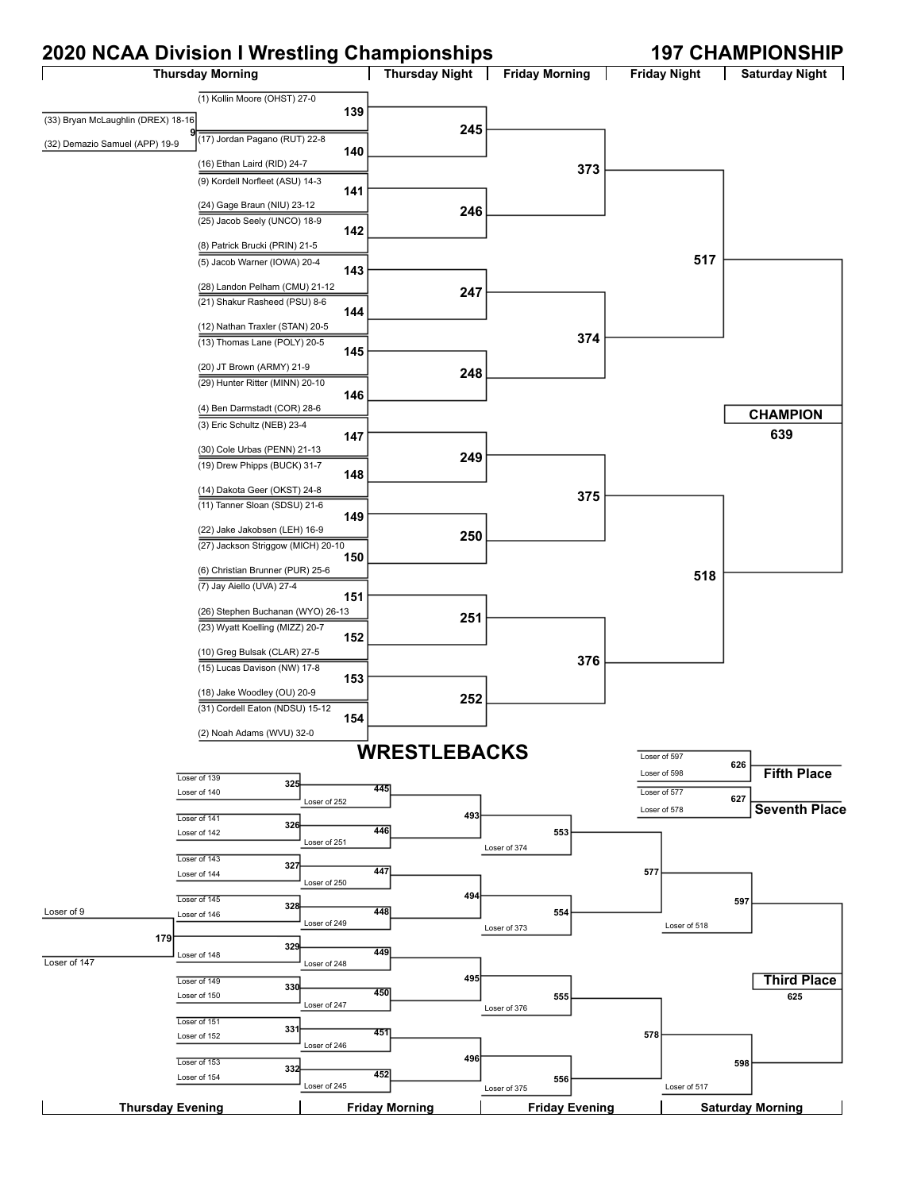## **2020 NCAA Division I Wrestling Championships 197 CHAMPIONSHIP**